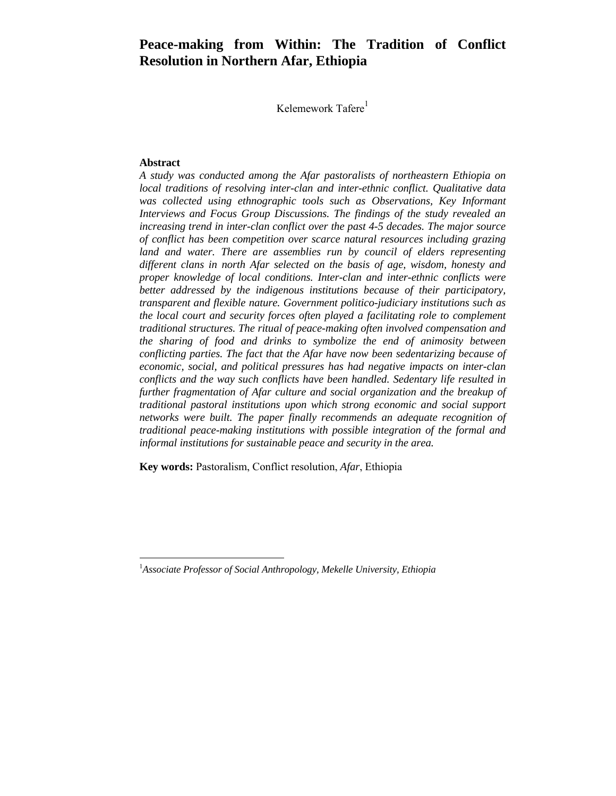# **Peace-making from Within: The Tradition of Conflict Resolution in Northern Afar, Ethiopia**

Kelemework Tafere<sup>1</sup>

#### **Abstract**

1

*A study was conducted among the Afar pastoralists of northeastern Ethiopia on local traditions of resolving inter-clan and inter-ethnic conflict. Qualitative data was collected using ethnographic tools such as Observations, Key Informant Interviews and Focus Group Discussions. The findings of the study revealed an increasing trend in inter-clan conflict over the past 4-5 decades. The major source of conflict has been competition over scarce natural resources including grazing land and water. There are assemblies run by council of elders representing different clans in north Afar selected on the basis of age, wisdom, honesty and proper knowledge of local conditions. Inter-clan and inter-ethnic conflicts were better addressed by the indigenous institutions because of their participatory, transparent and flexible nature. Government politico-judiciary institutions such as the local court and security forces often played a facilitating role to complement traditional structures. The ritual of peace-making often involved compensation and the sharing of food and drinks to symbolize the end of animosity between conflicting parties. The fact that the Afar have now been sedentarizing because of economic, social, and political pressures has had negative impacts on inter-clan conflicts and the way such conflicts have been handled. Sedentary life resulted in further fragmentation of Afar culture and social organization and the breakup of traditional pastoral institutions upon which strong economic and social support networks were built. The paper finally recommends an adequate recognition of traditional peace-making institutions with possible integration of the formal and informal institutions for sustainable peace and security in the area.* 

**Key words:** Pastoralism, Conflict resolution, *Afar*, Ethiopia

<sup>1</sup> *Associate Professor of Social Anthropology, Mekelle University, Ethiopia*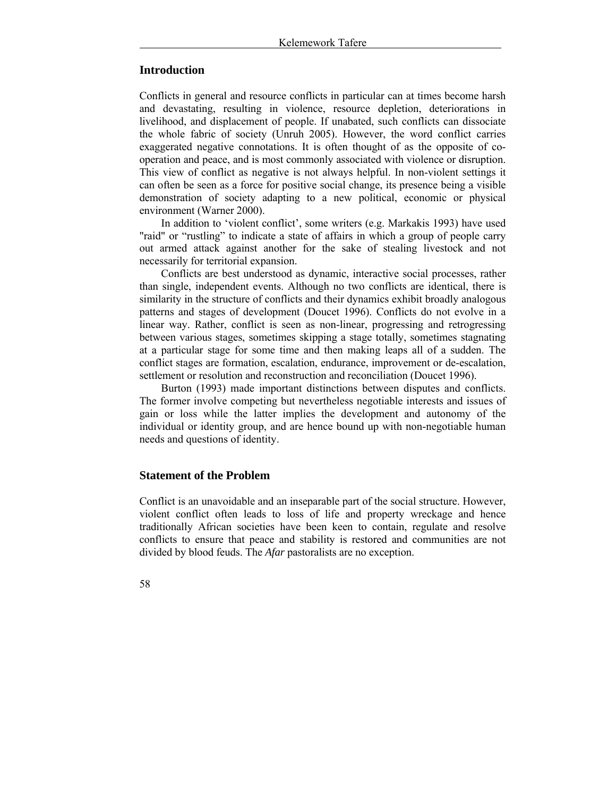### **Introduction**

Conflicts in general and resource conflicts in particular can at times become harsh and devastating, resulting in violence, resource depletion, deteriorations in livelihood, and displacement of people. If unabated, such conflicts can dissociate the whole fabric of society (Unruh 2005). However, the word conflict carries exaggerated negative connotations. It is often thought of as the opposite of cooperation and peace, and is most commonly associated with violence or disruption. This view of conflict as negative is not always helpful. In non-violent settings it can often be seen as a force for positive social change, its presence being a visible demonstration of society adapting to a new political, economic or physical environment (Warner 2000).

In addition to 'violent conflict', some writers (e.g. Markakis 1993) have used "raid" or "rustling" to indicate a state of affairs in which a group of people carry out armed attack against another for the sake of stealing livestock and not necessarily for territorial expansion.

Conflicts are best understood as dynamic, interactive social processes, rather than single, independent events. Although no two conflicts are identical, there is similarity in the structure of conflicts and their dynamics exhibit broadly analogous patterns and stages of development (Doucet 1996). Conflicts do not evolve in a linear way. Rather, conflict is seen as non-linear, progressing and retrogressing between various stages, sometimes skipping a stage totally, sometimes stagnating at a particular stage for some time and then making leaps all of a sudden. The conflict stages are formation, escalation, endurance, improvement or de-escalation, settlement or resolution and reconstruction and reconciliation (Doucet 1996).

Burton (1993) made important distinctions between disputes and conflicts. The former involve competing but nevertheless negotiable interests and issues of gain or loss while the latter implies the development and autonomy of the individual or identity group, and are hence bound up with non-negotiable human needs and questions of identity.

### **Statement of the Problem**

Conflict is an unavoidable and an inseparable part of the social structure. However, violent conflict often leads to loss of life and property wreckage and hence traditionally African societies have been keen to contain, regulate and resolve conflicts to ensure that peace and stability is restored and communities are not divided by blood feuds. The *Afar* pastoralists are no exception.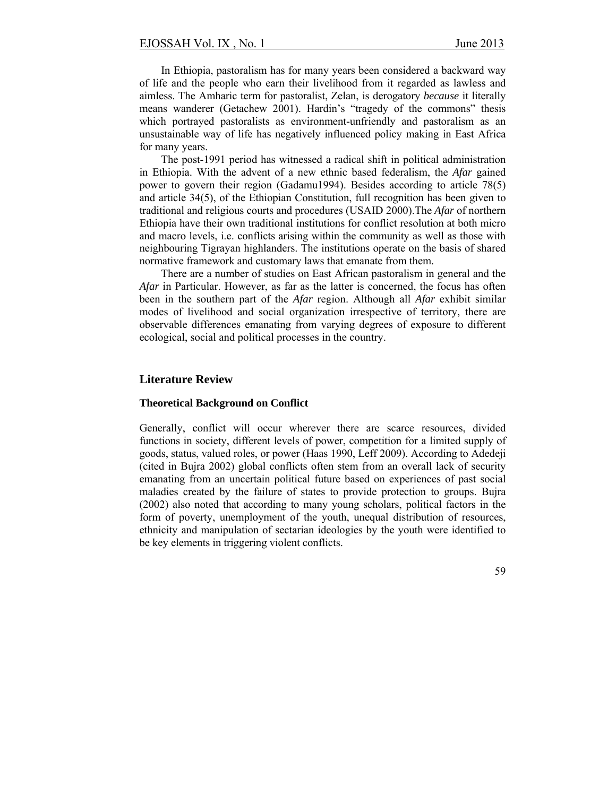In Ethiopia, pastoralism has for many years been considered a backward way of life and the people who earn their livelihood from it regarded as lawless and aimless. The Amharic term for pastoralist, Zelan, is derogatory *because* it literally means wanderer (Getachew 2001). Hardin's "tragedy of the commons" thesis which portrayed pastoralists as environment-unfriendly and pastoralism as an unsustainable way of life has negatively influenced policy making in East Africa for many years.

The post-1991 period has witnessed a radical shift in political administration in Ethiopia. With the advent of a new ethnic based federalism, the *Afar* gained power to govern their region (Gadamu1994). Besides according to article 78(5) and article 34(5), of the Ethiopian Constitution, full recognition has been given to traditional and religious courts and procedures (USAID 2000).The *Afar* of northern Ethiopia have their own traditional institutions for conflict resolution at both micro and macro levels, i.e. conflicts arising within the community as well as those with neighbouring Tigrayan highlanders. The institutions operate on the basis of shared normative framework and customary laws that emanate from them.

There are a number of studies on East African pastoralism in general and the *Afar* in Particular. However, as far as the latter is concerned, the focus has often been in the southern part of the *Afar* region. Although all *Afar* exhibit similar modes of livelihood and social organization irrespective of territory, there are observable differences emanating from varying degrees of exposure to different ecological, social and political processes in the country.

#### **Literature Review**

#### **Theoretical Background on Conflict**

Generally, conflict will occur wherever there are scarce resources, divided functions in society, different levels of power, competition for a limited supply of goods, status, valued roles, or power (Haas 1990, Leff 2009). According to Adedeji (cited in Bujra 2002) global conflicts often stem from an overall lack of security emanating from an uncertain political future based on experiences of past social maladies created by the failure of states to provide protection to groups. Bujra (2002) also noted that according to many young scholars, political factors in the form of poverty, unemployment of the youth, unequal distribution of resources, ethnicity and manipulation of sectarian ideologies by the youth were identified to be key elements in triggering violent conflicts.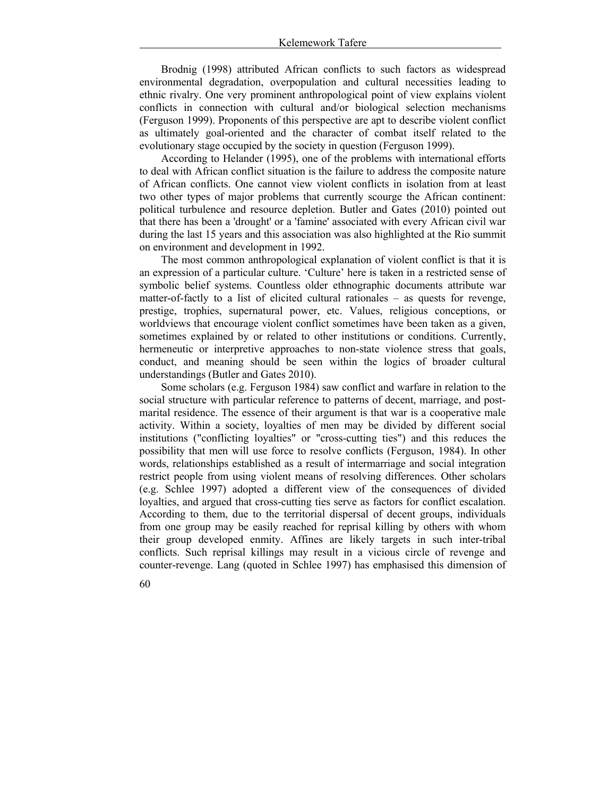Brodnig (1998) attributed African conflicts to such factors as widespread environmental degradation, overpopulation and cultural necessities leading to ethnic rivalry. One very prominent anthropological point of view explains violent conflicts in connection with cultural and/or biological selection mechanisms (Ferguson 1999). Proponents of this perspective are apt to describe violent conflict as ultimately goal-oriented and the character of combat itself related to the evolutionary stage occupied by the society in question (Ferguson 1999).

According to Helander (1995), one of the problems with international efforts to deal with African conflict situation is the failure to address the composite nature of African conflicts. One cannot view violent conflicts in isolation from at least two other types of major problems that currently scourge the African continent: political turbulence and resource depletion. Butler and Gates (2010) pointed out that there has been a 'drought' or a 'famine' associated with every African civil war during the last 15 years and this association was also highlighted at the Rio summit on environment and development in 1992.

The most common anthropological explanation of violent conflict is that it is an expression of a particular culture. 'Culture' here is taken in a restricted sense of symbolic belief systems. Countless older ethnographic documents attribute war matter-of-factly to a list of elicited cultural rationales – as quests for revenge, prestige, trophies, supernatural power, etc. Values, religious conceptions, or worldviews that encourage violent conflict sometimes have been taken as a given, sometimes explained by or related to other institutions or conditions. Currently, hermeneutic or interpretive approaches to non-state violence stress that goals, conduct, and meaning should be seen within the logics of broader cultural understandings (Butler and Gates 2010).

Some scholars (e.g. Ferguson 1984) saw conflict and warfare in relation to the social structure with particular reference to patterns of decent, marriage, and postmarital residence. The essence of their argument is that war is a cooperative male activity. Within a society, loyalties of men may be divided by different social institutions ("conflicting loyalties" or "cross-cutting ties") and this reduces the possibility that men will use force to resolve conflicts (Ferguson, 1984). In other words, relationships established as a result of intermarriage and social integration restrict people from using violent means of resolving differences. Other scholars (e.g. Schlee 1997) adopted a different view of the consequences of divided loyalties, and argued that cross-cutting ties serve as factors for conflict escalation. According to them, due to the territorial dispersal of decent groups, individuals from one group may be easily reached for reprisal killing by others with whom their group developed enmity. Affines are likely targets in such inter-tribal conflicts. Such reprisal killings may result in a vicious circle of revenge and counter-revenge. Lang (quoted in Schlee 1997) has emphasised this dimension of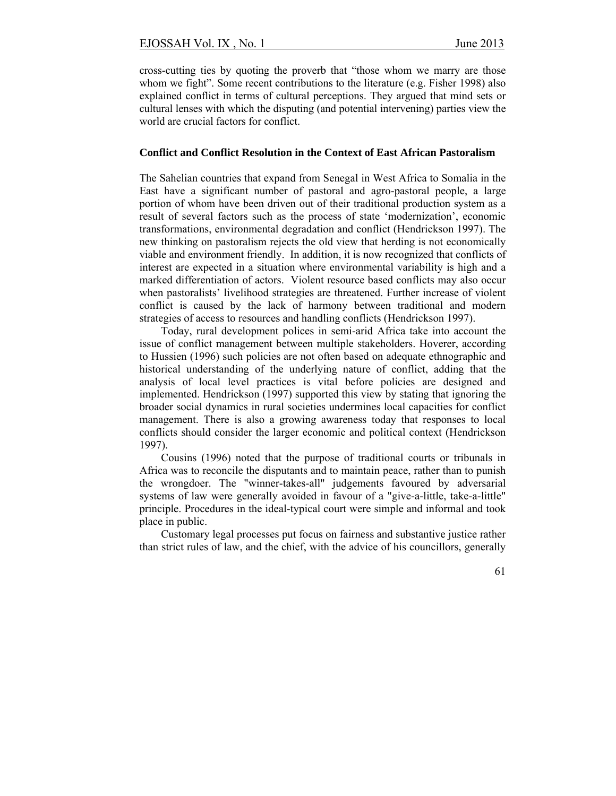cross-cutting ties by quoting the proverb that "those whom we marry are those whom we fight". Some recent contributions to the literature (e.g. Fisher 1998) also explained conflict in terms of cultural perceptions. They argued that mind sets or cultural lenses with which the disputing (and potential intervening) parties view the world are crucial factors for conflict.

#### **Conflict and Conflict Resolution in the Context of East African Pastoralism**

The Sahelian countries that expand from Senegal in West Africa to Somalia in the East have a significant number of pastoral and agro-pastoral people, a large portion of whom have been driven out of their traditional production system as a result of several factors such as the process of state 'modernization', economic transformations, environmental degradation and conflict (Hendrickson 1997). The new thinking on pastoralism rejects the old view that herding is not economically viable and environment friendly. In addition, it is now recognized that conflicts of interest are expected in a situation where environmental variability is high and a marked differentiation of actors. Violent resource based conflicts may also occur when pastoralists' livelihood strategies are threatened. Further increase of violent conflict is caused by the lack of harmony between traditional and modern strategies of access to resources and handling conflicts (Hendrickson 1997).

Today, rural development polices in semi-arid Africa take into account the issue of conflict management between multiple stakeholders. Hoverer, according to Hussien (1996) such policies are not often based on adequate ethnographic and historical understanding of the underlying nature of conflict, adding that the analysis of local level practices is vital before policies are designed and implemented. Hendrickson (1997) supported this view by stating that ignoring the broader social dynamics in rural societies undermines local capacities for conflict management. There is also a growing awareness today that responses to local conflicts should consider the larger economic and political context (Hendrickson 1997).

Cousins (1996) noted that the purpose of traditional courts or tribunals in Africa was to reconcile the disputants and to maintain peace, rather than to punish the wrongdoer. The "winner-takes-all" judgements favoured by adversarial systems of law were generally avoided in favour of a "give-a-little, take-a-little" principle. Procedures in the ideal-typical court were simple and informal and took place in public.

Customary legal processes put focus on fairness and substantive justice rather than strict rules of law, and the chief, with the advice of his councillors, generally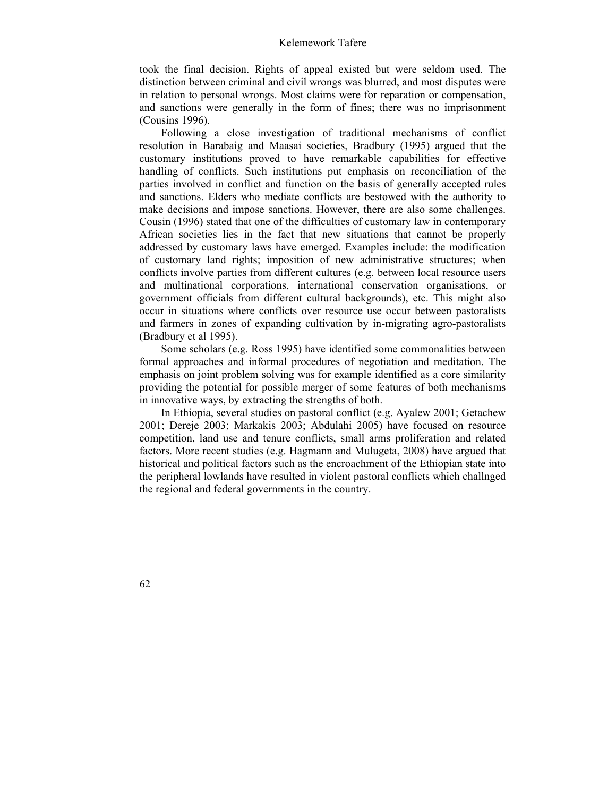took the final decision. Rights of appeal existed but were seldom used. The distinction between criminal and civil wrongs was blurred, and most disputes were in relation to personal wrongs. Most claims were for reparation or compensation, and sanctions were generally in the form of fines; there was no imprisonment (Cousins 1996).

Following a close investigation of traditional mechanisms of conflict resolution in Barabaig and Maasai societies, Bradbury (1995) argued that the customary institutions proved to have remarkable capabilities for effective handling of conflicts. Such institutions put emphasis on reconciliation of the parties involved in conflict and function on the basis of generally accepted rules and sanctions. Elders who mediate conflicts are bestowed with the authority to make decisions and impose sanctions. However, there are also some challenges. Cousin (1996) stated that one of the difficulties of customary law in contemporary African societies lies in the fact that new situations that cannot be properly addressed by customary laws have emerged. Examples include: the modification of customary land rights; imposition of new administrative structures; when conflicts involve parties from different cultures (e.g. between local resource users and multinational corporations, international conservation organisations, or government officials from different cultural backgrounds), etc. This might also occur in situations where conflicts over resource use occur between pastoralists and farmers in zones of expanding cultivation by in-migrating agro-pastoralists (Bradbury et al 1995).

Some scholars (e.g. Ross 1995) have identified some commonalities between formal approaches and informal procedures of negotiation and meditation. The emphasis on joint problem solving was for example identified as a core similarity providing the potential for possible merger of some features of both mechanisms in innovative ways, by extracting the strengths of both.

In Ethiopia, several studies on pastoral conflict (e.g. Ayalew 2001; Getachew 2001; Dereje 2003; Markakis 2003; Abdulahi 2005) have focused on resource competition, land use and tenure conflicts, small arms proliferation and related factors. More recent studies (e.g. Hagmann and Mulugeta, 2008) have argued that historical and political factors such as the encroachment of the Ethiopian state into the peripheral lowlands have resulted in violent pastoral conflicts which challnged the regional and federal governments in the country.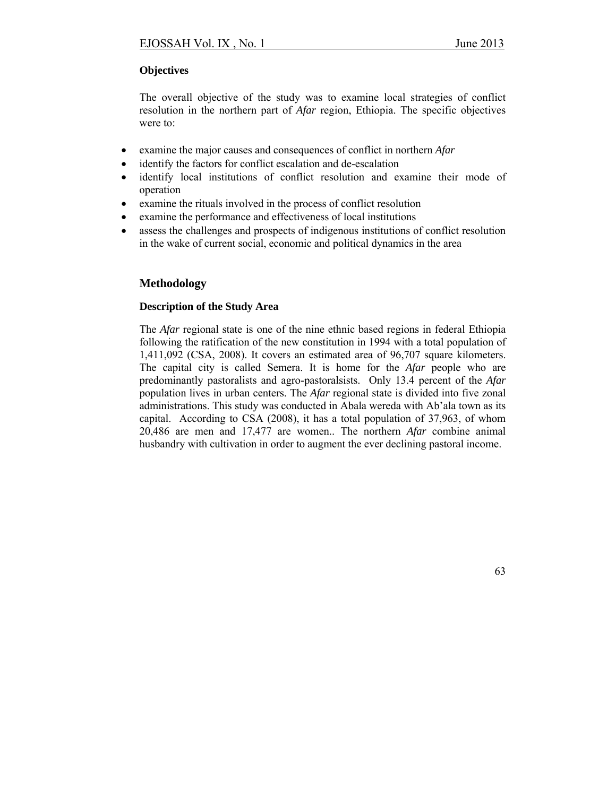# **Objectives**

The overall objective of the study was to examine local strategies of conflict resolution in the northern part of *Afar* region, Ethiopia. The specific objectives were to:

- examine the major causes and consequences of conflict in northern *Afar*
- identify the factors for conflict escalation and de-escalation
- identify local institutions of conflict resolution and examine their mode of operation
- examine the rituals involved in the process of conflict resolution
- examine the performance and effectiveness of local institutions
- assess the challenges and prospects of indigenous institutions of conflict resolution in the wake of current social, economic and political dynamics in the area

# **Methodology**

### **Description of the Study Area**

The *Afar* regional state is one of the nine ethnic based regions in federal Ethiopia following the ratification of the new constitution in 1994 with a total population of 1,411,092 (CSA, 2008). It covers an estimated area of 96,707 square kilometers. The capital city is called Semera. It is home for the *Afar* people who are predominantly pastoralists and agro-pastoralsists. Only 13.4 percent of the *Afar* population lives in urban centers. The *Afar* regional state is divided into five zonal administrations. This study was conducted in Abala wereda with Ab'ala town as its capital. According to CSA (2008), it has a total population of 37,963, of whom 20,486 are men and 17,477 are women.. The northern *Afar* combine animal husbandry with cultivation in order to augment the ever declining pastoral income.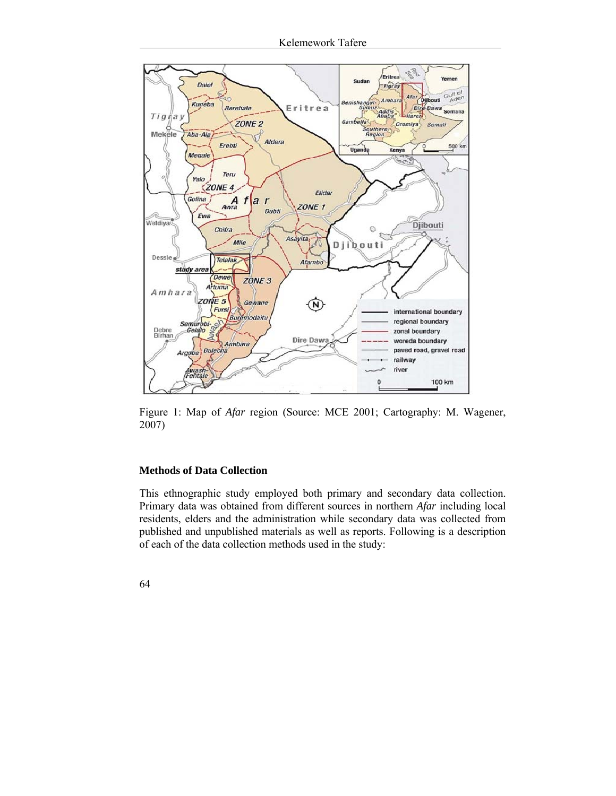

Figure 1: Map of *Afar* region (Source: MCE 2001; Cartography: M. Wagener, 2007)

### **Methods of Data Collection**

This ethnographic study employed both primary and secondary data collection. Primary data was obtained from different sources in northern *Afar* including local residents, elders and the administration while secondary data was collected from published and unpublished materials as well as reports. Following is a description of each of the data collection methods used in the study: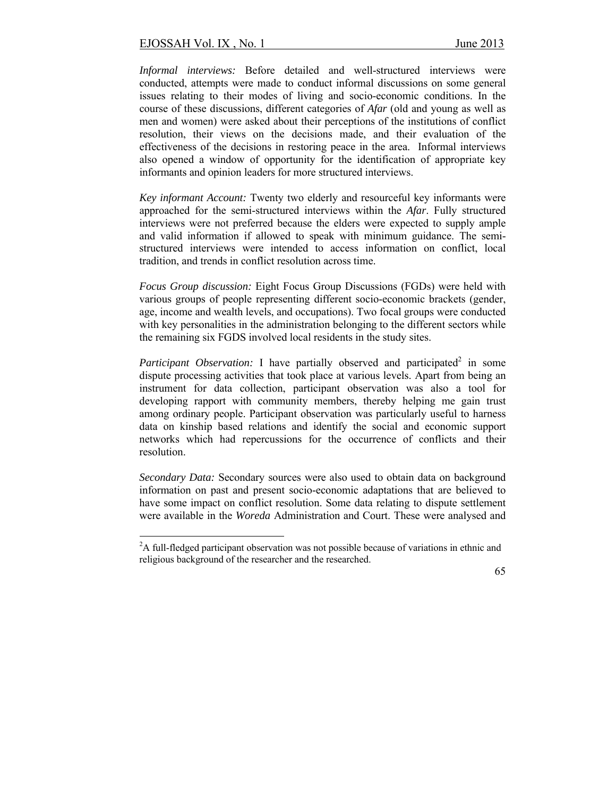1

*Informal interviews:* Before detailed and well-structured interviews were conducted, attempts were made to conduct informal discussions on some general issues relating to their modes of living and socio-economic conditions. In the course of these discussions, different categories of *Afar* (old and young as well as men and women) were asked about their perceptions of the institutions of conflict resolution, their views on the decisions made, and their evaluation of the effectiveness of the decisions in restoring peace in the area. Informal interviews also opened a window of opportunity for the identification of appropriate key informants and opinion leaders for more structured interviews.

*Key informant Account:* Twenty two elderly and resourceful key informants were approached for the semi-structured interviews within the *Afar*. Fully structured interviews were not preferred because the elders were expected to supply ample and valid information if allowed to speak with minimum guidance. The semistructured interviews were intended to access information on conflict, local tradition, and trends in conflict resolution across time.

*Focus Group discussion:* Eight Focus Group Discussions (FGDs) were held with various groups of people representing different socio-economic brackets (gender, age, income and wealth levels, and occupations). Two focal groups were conducted with key personalities in the administration belonging to the different sectors while the remaining six FGDS involved local residents in the study sites.

Participant Observation: I have partially observed and participated<sup>2</sup> in some dispute processing activities that took place at various levels. Apart from being an instrument for data collection, participant observation was also a tool for developing rapport with community members, thereby helping me gain trust among ordinary people. Participant observation was particularly useful to harness data on kinship based relations and identify the social and economic support networks which had repercussions for the occurrence of conflicts and their resolution.

*Secondary Data:* Secondary sources were also used to obtain data on background information on past and present socio-economic adaptations that are believed to have some impact on conflict resolution. Some data relating to dispute settlement were available in the *Woreda* Administration and Court. These were analysed and

 $2A$  full-fledged participant observation was not possible because of variations in ethnic and religious background of the researcher and the researched.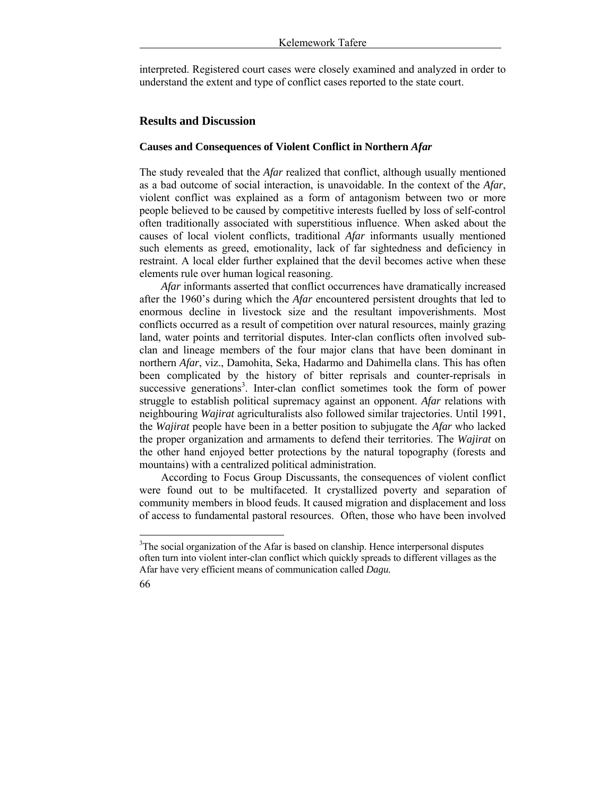interpreted. Registered court cases were closely examined and analyzed in order to understand the extent and type of conflict cases reported to the state court.

# **Results and Discussion**

# **Causes and Consequences of Violent Conflict in Northern** *Afar*

The study revealed that the *Afar* realized that conflict, although usually mentioned as a bad outcome of social interaction, is unavoidable. In the context of the *Afar*, violent conflict was explained as a form of antagonism between two or more people believed to be caused by competitive interests fuelled by loss of self-control often traditionally associated with superstitious influence. When asked about the causes of local violent conflicts, traditional *Afar* informants usually mentioned such elements as greed, emotionality, lack of far sightedness and deficiency in restraint. A local elder further explained that the devil becomes active when these elements rule over human logical reasoning.

*Afar* informants asserted that conflict occurrences have dramatically increased after the 1960's during which the *Afar* encountered persistent droughts that led to enormous decline in livestock size and the resultant impoverishments. Most conflicts occurred as a result of competition over natural resources, mainly grazing land, water points and territorial disputes. Inter-clan conflicts often involved subclan and lineage members of the four major clans that have been dominant in northern *Afar*, viz., Damohita, Seka, Hadarmo and Dahimella clans. This has often been complicated by the history of bitter reprisals and counter-reprisals in successive generations<sup>3</sup>. Inter-clan conflict sometimes took the form of power struggle to establish political supremacy against an opponent. *Afar* relations with neighbouring *Wajirat* agriculturalists also followed similar trajectories. Until 1991, the *Wajirat* people have been in a better position to subjugate the *Afar* who lacked the proper organization and armaments to defend their territories. The *Wajirat* on the other hand enjoyed better protections by the natural topography (forests and mountains) with a centralized political administration.

According to Focus Group Discussants, the consequences of violent conflict were found out to be multifaceted. It crystallized poverty and separation of community members in blood feuds. It caused migration and displacement and loss of access to fundamental pastoral resources. Often, those who have been involved

<sup>&</sup>lt;sup>3</sup>The social organization of the Afar is based on clanship. Hence interpersonal disputes often turn into violent inter-clan conflict which quickly spreads to different villages as the Afar have very efficient means of communication called *Dagu.*

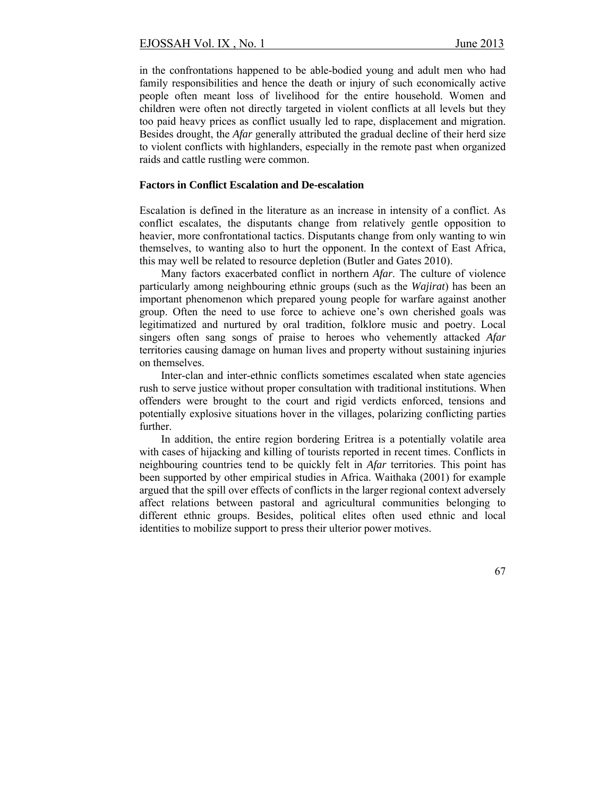in the confrontations happened to be able-bodied young and adult men who had family responsibilities and hence the death or injury of such economically active people often meant loss of livelihood for the entire household. Women and children were often not directly targeted in violent conflicts at all levels but they too paid heavy prices as conflict usually led to rape, displacement and migration. Besides drought, the *Afar* generally attributed the gradual decline of their herd size to violent conflicts with highlanders, especially in the remote past when organized raids and cattle rustling were common.

#### **Factors in Conflict Escalation and De-escalation**

Escalation is defined in the literature as an increase in intensity of a conflict. As conflict escalates, the disputants change from relatively gentle opposition to heavier, more confrontational tactics. Disputants change from only wanting to win themselves, to wanting also to hurt the opponent. In the context of East Africa, this may well be related to resource depletion (Butler and Gates 2010).

Many factors exacerbated conflict in northern *Afar*. The culture of violence particularly among neighbouring ethnic groups (such as the *Wajirat*) has been an important phenomenon which prepared young people for warfare against another group. Often the need to use force to achieve one's own cherished goals was legitimatized and nurtured by oral tradition, folklore music and poetry. Local singers often sang songs of praise to heroes who vehemently attacked *Afar* territories causing damage on human lives and property without sustaining injuries on themselves.

Inter-clan and inter-ethnic conflicts sometimes escalated when state agencies rush to serve justice without proper consultation with traditional institutions. When offenders were brought to the court and rigid verdicts enforced, tensions and potentially explosive situations hover in the villages, polarizing conflicting parties further.

In addition, the entire region bordering Eritrea is a potentially volatile area with cases of hijacking and killing of tourists reported in recent times. Conflicts in neighbouring countries tend to be quickly felt in *Afar* territories. This point has been supported by other empirical studies in Africa. Waithaka (2001) for example argued that the spill over effects of conflicts in the larger regional context adversely affect relations between pastoral and agricultural communities belonging to different ethnic groups. Besides, political elites often used ethnic and local identities to mobilize support to press their ulterior power motives.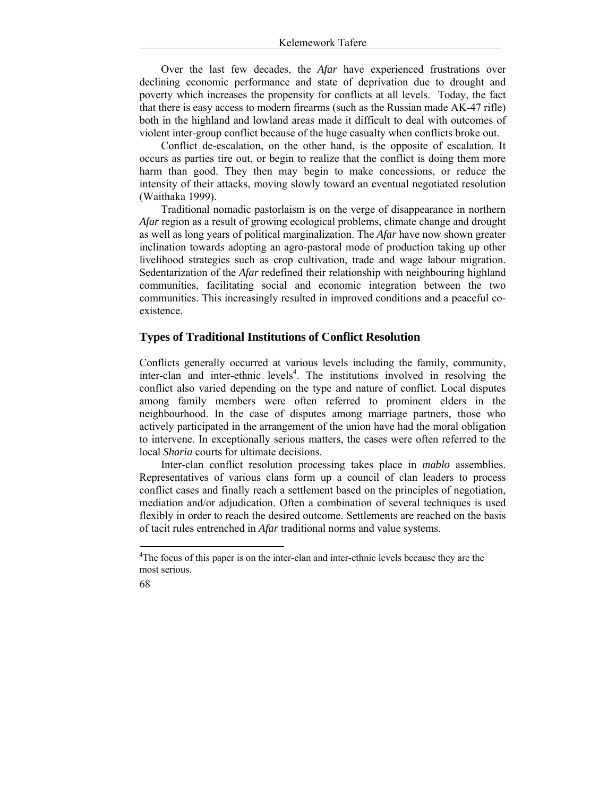Over the last few decades, the *Afar* have experienced frustrations over declining economic performance and state of deprivation due to drought and poverty which increases the propensity for conflicts at all levels. Today, the fact that there is easy access to modern firearms (such as the Russian made AK-47 rifle) both in the highland and lowland areas made it difficult to deal with outcomes of violent inter-group conflict because of the huge casualty when conflicts broke out.

Conflict de-escalation, on the other hand, is the opposite of escalation. It occurs as parties tire out, or begin to realize that the conflict is doing them more harm than good. They then may begin to make concessions, or reduce the intensity of their attacks, moving slowly toward an eventual negotiated resolution (Waithaka 1999).

Traditional nomadic pastorlaism is on the verge of disappearance in northern *Afar* region as a result of growing ecological problems, climate change and drought as well as long years of political marginalization. The *Afar* have now shown greater inclination towards adopting an agro-pastoral mode of production taking up other livelihood strategies such as crop cultivation, trade and wage labour migration. Sedentarization of the *Afar* redefined their relationship with neighbouring highland communities, facilitating social and economic integration between the two communities. This increasingly resulted in improved conditions and a peaceful coexistence.

# **Types of Traditional Institutions of Conflict Resolution**

Conflicts generally occurred at various levels including the family, community, inter-clan and inter-ethnic levels<sup>4</sup>. The institutions involved in resolving the conflict also varied depending on the type and nature of conflict. Local disputes among family members were often referred to prominent elders in the neighbourhood. In the case of disputes among marriage partners, those who actively participated in the arrangement of the union have had the moral obligation to intervene. In exceptionally serious matters, the cases were often referred to the local *Sharia* courts for ultimate decisions.

Inter-clan conflict resolution processing takes place in *mablo* assemblies. Representatives of various clans form up a council of clan leaders to process conflict cases and finally reach a settlement based on the principles of negotiation, mediation and/or adjudication. Often a combination of several techniques is used flexibly in order to reach the desired outcome. Settlements are reached on the basis of tacit rules entrenched in *Afar* traditional norms and value systems.

<sup>&</sup>lt;sup>4</sup>The focus of this paper is on the inter-clan and inter-ethnic levels because they are the most serious.



<u>.</u>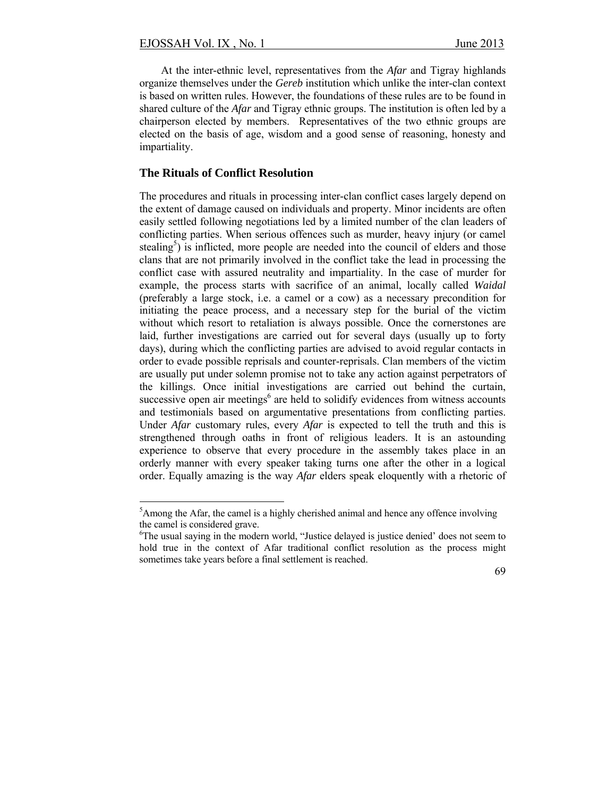At the inter-ethnic level, representatives from the *Afar* and Tigray highlands organize themselves under the *Gereb* institution which unlike the inter-clan context is based on written rules. However, the foundations of these rules are to be found in shared culture of the *Afar* and Tigray ethnic groups. The institution is often led by a chairperson elected by members. Representatives of the two ethnic groups are elected on the basis of age, wisdom and a good sense of reasoning, honesty and impartiality.

### **The Rituals of Conflict Resolution**

1

The procedures and rituals in processing inter-clan conflict cases largely depend on the extent of damage caused on individuals and property. Minor incidents are often easily settled following negotiations led by a limited number of the clan leaders of conflicting parties. When serious offences such as murder, heavy injury (or camel stealing<sup>5</sup>) is inflicted, more people are needed into the council of elders and those clans that are not primarily involved in the conflict take the lead in processing the conflict case with assured neutrality and impartiality. In the case of murder for example, the process starts with sacrifice of an animal, locally called *Waidal* (preferably a large stock, i.e. a camel or a cow) as a necessary precondition for initiating the peace process, and a necessary step for the burial of the victim without which resort to retaliation is always possible. Once the cornerstones are laid, further investigations are carried out for several days (usually up to forty days), during which the conflicting parties are advised to avoid regular contacts in order to evade possible reprisals and counter-reprisals. Clan members of the victim are usually put under solemn promise not to take any action against perpetrators of the killings. Once initial investigations are carried out behind the curtain, successive open air meetings $6$  are held to solidify evidences from witness accounts and testimonials based on argumentative presentations from conflicting parties. Under *Afar* customary rules, every *Afar* is expected to tell the truth and this is strengthened through oaths in front of religious leaders. It is an astounding experience to observe that every procedure in the assembly takes place in an orderly manner with every speaker taking turns one after the other in a logical order. Equally amazing is the way *Afar* elders speak eloquently with a rhetoric of

 $<sup>5</sup>$ Among the Afar, the camel is a highly cherished animal and hence any offence involving</sup> the camel is considered grave.

<sup>&</sup>lt;sup>6</sup>The usual saying in the modern world, "Justice delayed is justice denied' does not seem to hold true in the context of Afar traditional conflict resolution as the process might sometimes take years before a final settlement is reached.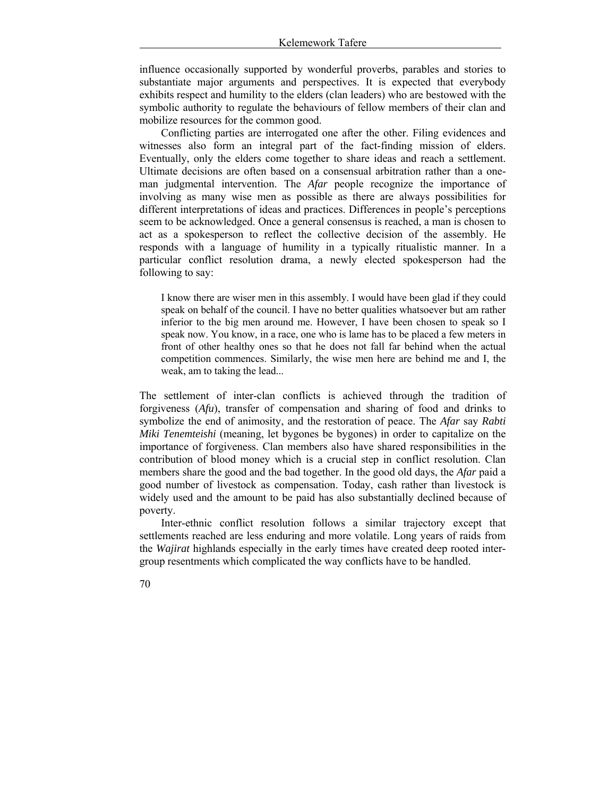influence occasionally supported by wonderful proverbs, parables and stories to substantiate major arguments and perspectives. It is expected that everybody exhibits respect and humility to the elders (clan leaders) who are bestowed with the symbolic authority to regulate the behaviours of fellow members of their clan and mobilize resources for the common good.

Conflicting parties are interrogated one after the other. Filing evidences and witnesses also form an integral part of the fact-finding mission of elders. Eventually, only the elders come together to share ideas and reach a settlement. Ultimate decisions are often based on a consensual arbitration rather than a oneman judgmental intervention. The *Afar* people recognize the importance of involving as many wise men as possible as there are always possibilities for different interpretations of ideas and practices. Differences in people's perceptions seem to be acknowledged. Once a general consensus is reached, a man is chosen to act as a spokesperson to reflect the collective decision of the assembly. He responds with a language of humility in a typically ritualistic manner. In a particular conflict resolution drama, a newly elected spokesperson had the following to say:

I know there are wiser men in this assembly. I would have been glad if they could speak on behalf of the council. I have no better qualities whatsoever but am rather inferior to the big men around me. However, I have been chosen to speak so I speak now. You know, in a race, one who is lame has to be placed a few meters in front of other healthy ones so that he does not fall far behind when the actual competition commences. Similarly, the wise men here are behind me and I, the weak, am to taking the lead...

The settlement of inter-clan conflicts is achieved through the tradition of forgiveness (*Afu*), transfer of compensation and sharing of food and drinks to symbolize the end of animosity, and the restoration of peace. The *Afar* say *Rabti Miki Tenemteishi* (meaning, let bygones be bygones) in order to capitalize on the importance of forgiveness. Clan members also have shared responsibilities in the contribution of blood money which is a crucial step in conflict resolution. Clan members share the good and the bad together. In the good old days, the *Afar* paid a good number of livestock as compensation. Today, cash rather than livestock is widely used and the amount to be paid has also substantially declined because of poverty.

Inter-ethnic conflict resolution follows a similar trajectory except that settlements reached are less enduring and more volatile. Long years of raids from the *Wajirat* highlands especially in the early times have created deep rooted intergroup resentments which complicated the way conflicts have to be handled.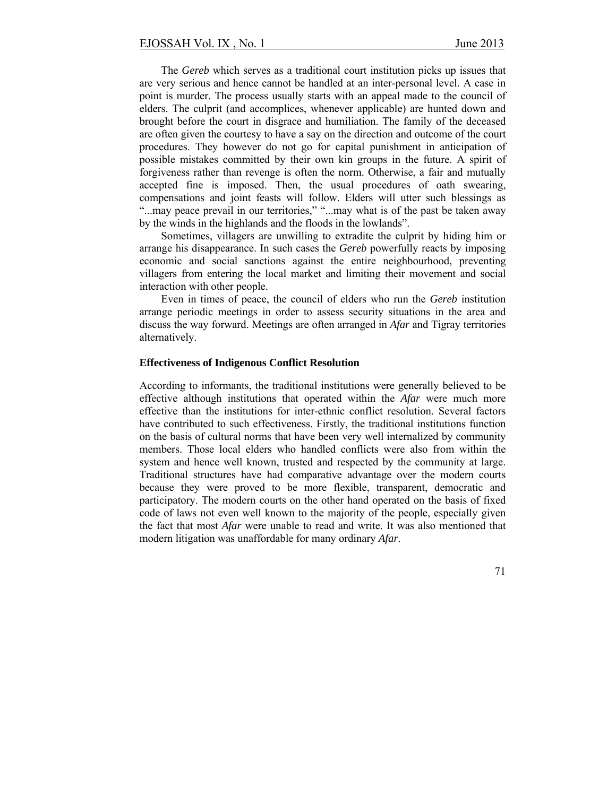The *Gereb* which serves as a traditional court institution picks up issues that are very serious and hence cannot be handled at an inter-personal level. A case in point is murder. The process usually starts with an appeal made to the council of elders. The culprit (and accomplices, whenever applicable) are hunted down and brought before the court in disgrace and humiliation. The family of the deceased are often given the courtesy to have a say on the direction and outcome of the court procedures. They however do not go for capital punishment in anticipation of possible mistakes committed by their own kin groups in the future. A spirit of forgiveness rather than revenge is often the norm. Otherwise, a fair and mutually accepted fine is imposed. Then, the usual procedures of oath swearing, compensations and joint feasts will follow. Elders will utter such blessings as "...may peace prevail in our territories," "...may what is of the past be taken away by the winds in the highlands and the floods in the lowlands".

Sometimes, villagers are unwilling to extradite the culprit by hiding him or arrange his disappearance. In such cases the *Gereb* powerfully reacts by imposing economic and social sanctions against the entire neighbourhood, preventing villagers from entering the local market and limiting their movement and social interaction with other people.

Even in times of peace, the council of elders who run the *Gereb* institution arrange periodic meetings in order to assess security situations in the area and discuss the way forward. Meetings are often arranged in *Afar* and Tigray territories alternatively.

#### **Effectiveness of Indigenous Conflict Resolution**

According to informants, the traditional institutions were generally believed to be effective although institutions that operated within the *Afar* were much more effective than the institutions for inter-ethnic conflict resolution. Several factors have contributed to such effectiveness. Firstly, the traditional institutions function on the basis of cultural norms that have been very well internalized by community members. Those local elders who handled conflicts were also from within the system and hence well known, trusted and respected by the community at large. Traditional structures have had comparative advantage over the modern courts because they were proved to be more flexible, transparent, democratic and participatory. The modern courts on the other hand operated on the basis of fixed code of laws not even well known to the majority of the people, especially given the fact that most *Afar* were unable to read and write. It was also mentioned that modern litigation was unaffordable for many ordinary *Afar*.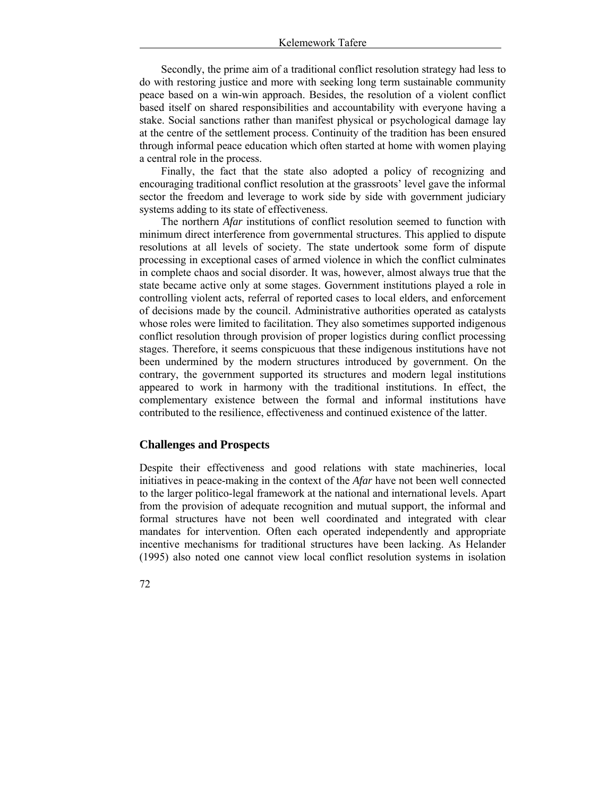Secondly, the prime aim of a traditional conflict resolution strategy had less to do with restoring justice and more with seeking long term sustainable community peace based on a win-win approach. Besides, the resolution of a violent conflict based itself on shared responsibilities and accountability with everyone having a stake. Social sanctions rather than manifest physical or psychological damage lay at the centre of the settlement process. Continuity of the tradition has been ensured through informal peace education which often started at home with women playing a central role in the process.

Finally, the fact that the state also adopted a policy of recognizing and encouraging traditional conflict resolution at the grassroots' level gave the informal sector the freedom and leverage to work side by side with government judiciary systems adding to its state of effectiveness.

The northern *Afar* institutions of conflict resolution seemed to function with minimum direct interference from governmental structures. This applied to dispute resolutions at all levels of society. The state undertook some form of dispute processing in exceptional cases of armed violence in which the conflict culminates in complete chaos and social disorder. It was, however, almost always true that the state became active only at some stages. Government institutions played a role in controlling violent acts, referral of reported cases to local elders, and enforcement of decisions made by the council. Administrative authorities operated as catalysts whose roles were limited to facilitation. They also sometimes supported indigenous conflict resolution through provision of proper logistics during conflict processing stages. Therefore, it seems conspicuous that these indigenous institutions have not been undermined by the modern structures introduced by government. On the contrary, the government supported its structures and modern legal institutions appeared to work in harmony with the traditional institutions. In effect, the complementary existence between the formal and informal institutions have contributed to the resilience, effectiveness and continued existence of the latter.

### **Challenges and Prospects**

Despite their effectiveness and good relations with state machineries, local initiatives in peace-making in the context of the *Afar* have not been well connected to the larger politico-legal framework at the national and international levels. Apart from the provision of adequate recognition and mutual support, the informal and formal structures have not been well coordinated and integrated with clear mandates for intervention. Often each operated independently and appropriate incentive mechanisms for traditional structures have been lacking. As Helander (1995) also noted one cannot view local conflict resolution systems in isolation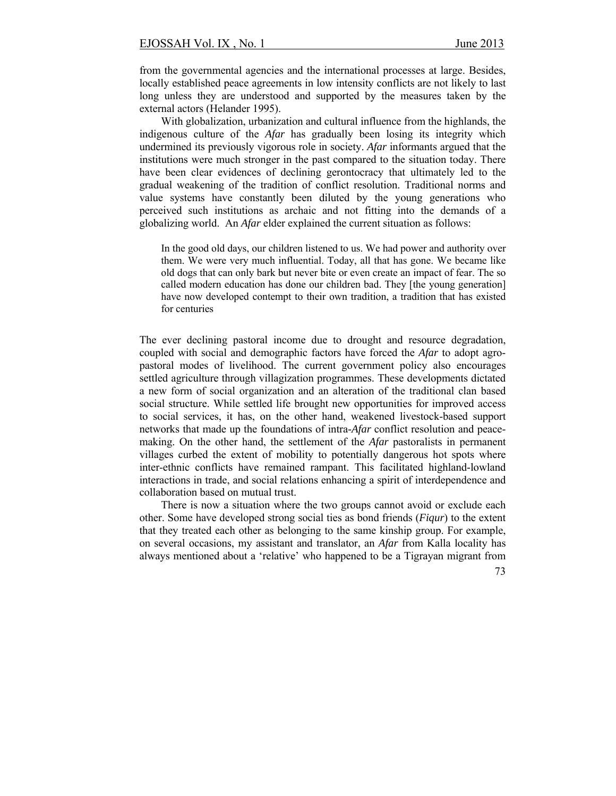from the governmental agencies and the international processes at large. Besides, locally established peace agreements in low intensity conflicts are not likely to last long unless they are understood and supported by the measures taken by the external actors (Helander 1995).

With globalization, urbanization and cultural influence from the highlands, the indigenous culture of the *Afar* has gradually been losing its integrity which undermined its previously vigorous role in society. *Afar* informants argued that the institutions were much stronger in the past compared to the situation today. There have been clear evidences of declining gerontocracy that ultimately led to the gradual weakening of the tradition of conflict resolution. Traditional norms and value systems have constantly been diluted by the young generations who perceived such institutions as archaic and not fitting into the demands of a globalizing world. An *Afar* elder explained the current situation as follows:

In the good old days, our children listened to us. We had power and authority over them. We were very much influential. Today, all that has gone. We became like old dogs that can only bark but never bite or even create an impact of fear. The so called modern education has done our children bad. They [the young generation] have now developed contempt to their own tradition, a tradition that has existed for centuries

The ever declining pastoral income due to drought and resource degradation, coupled with social and demographic factors have forced the *Afar* to adopt agropastoral modes of livelihood. The current government policy also encourages settled agriculture through villagization programmes. These developments dictated a new form of social organization and an alteration of the traditional clan based social structure. While settled life brought new opportunities for improved access to social services, it has, on the other hand, weakened livestock-based support networks that made up the foundations of intra-*Afar* conflict resolution and peacemaking. On the other hand, the settlement of the *Afar* pastoralists in permanent villages curbed the extent of mobility to potentially dangerous hot spots where inter-ethnic conflicts have remained rampant. This facilitated highland-lowland interactions in trade, and social relations enhancing a spirit of interdependence and collaboration based on mutual trust.

There is now a situation where the two groups cannot avoid or exclude each other. Some have developed strong social ties as bond friends (*Fiqur*) to the extent that they treated each other as belonging to the same kinship group. For example, on several occasions, my assistant and translator, an *Afar* from Kalla locality has always mentioned about a 'relative' who happened to be a Tigrayan migrant from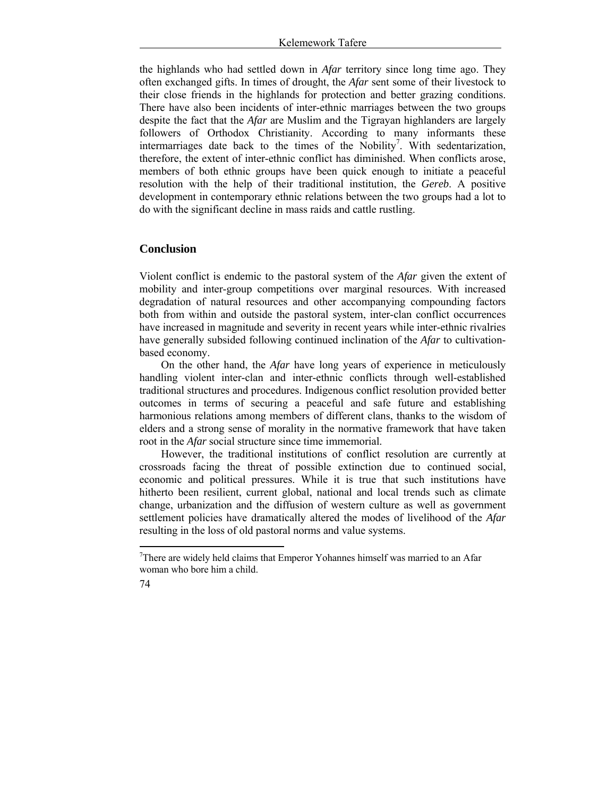the highlands who had settled down in *Afar* territory since long time ago. They often exchanged gifts. In times of drought, the *Afar* sent some of their livestock to their close friends in the highlands for protection and better grazing conditions. There have also been incidents of inter-ethnic marriages between the two groups despite the fact that the *Afar* are Muslim and the Tigrayan highlanders are largely followers of Orthodox Christianity. According to many informants these intermarriages date back to the times of the Nobility<sup>7</sup>. With sedentarization, therefore, the extent of inter-ethnic conflict has diminished. When conflicts arose, members of both ethnic groups have been quick enough to initiate a peaceful resolution with the help of their traditional institution, the *Gereb*. A positive development in contemporary ethnic relations between the two groups had a lot to do with the significant decline in mass raids and cattle rustling.

# **Conclusion**

Violent conflict is endemic to the pastoral system of the *Afar* given the extent of mobility and inter-group competitions over marginal resources. With increased degradation of natural resources and other accompanying compounding factors both from within and outside the pastoral system, inter-clan conflict occurrences have increased in magnitude and severity in recent years while inter-ethnic rivalries have generally subsided following continued inclination of the *Afar* to cultivationbased economy.

On the other hand, the *Afar* have long years of experience in meticulously handling violent inter-clan and inter-ethnic conflicts through well-established traditional structures and procedures. Indigenous conflict resolution provided better outcomes in terms of securing a peaceful and safe future and establishing harmonious relations among members of different clans, thanks to the wisdom of elders and a strong sense of morality in the normative framework that have taken root in the *Afar* social structure since time immemorial.

However, the traditional institutions of conflict resolution are currently at crossroads facing the threat of possible extinction due to continued social, economic and political pressures. While it is true that such institutions have hitherto been resilient, current global, national and local trends such as climate change, urbanization and the diffusion of western culture as well as government settlement policies have dramatically altered the modes of livelihood of the *Afar* resulting in the loss of old pastoral norms and value systems.

<u>.</u>

 $7$ There are widely held claims that Emperor Yohannes himself was married to an Afar woman who bore him a child.

<sup>74</sup>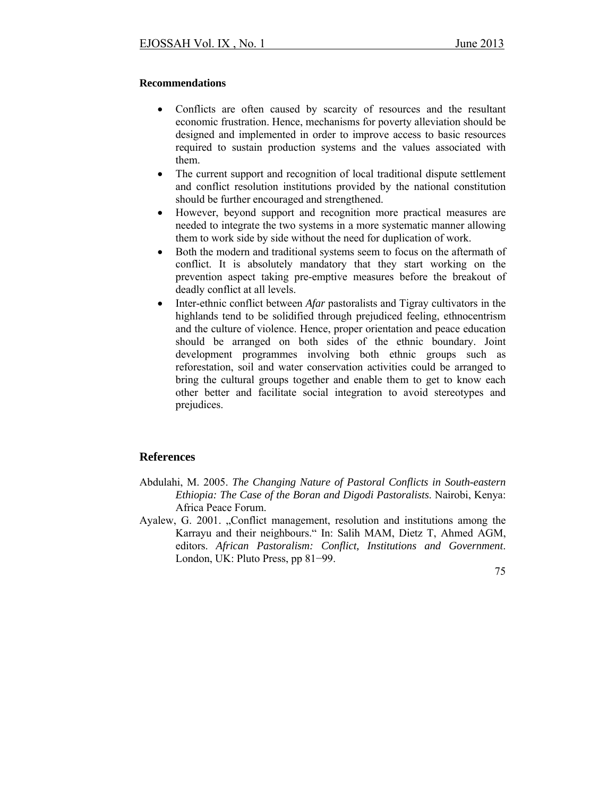# **Recommendations**

- Conflicts are often caused by scarcity of resources and the resultant economic frustration. Hence, mechanisms for poverty alleviation should be designed and implemented in order to improve access to basic resources required to sustain production systems and the values associated with them.
- The current support and recognition of local traditional dispute settlement and conflict resolution institutions provided by the national constitution should be further encouraged and strengthened.
- However, beyond support and recognition more practical measures are needed to integrate the two systems in a more systematic manner allowing them to work side by side without the need for duplication of work.
- Both the modern and traditional systems seem to focus on the aftermath of conflict. It is absolutely mandatory that they start working on the prevention aspect taking pre-emptive measures before the breakout of deadly conflict at all levels.
- Inter-ethnic conflict between *Afar* pastoralists and Tigray cultivators in the highlands tend to be solidified through prejudiced feeling, ethnocentrism and the culture of violence. Hence, proper orientation and peace education should be arranged on both sides of the ethnic boundary. Joint development programmes involving both ethnic groups such as reforestation, soil and water conservation activities could be arranged to bring the cultural groups together and enable them to get to know each other better and facilitate social integration to avoid stereotypes and prejudices.

# **References**

- Abdulahi, M. 2005. *The Changing Nature of Pastoral Conflicts in South-eastern Ethiopia: The Case of the Boran and Digodi Pastoralists*. Nairobi, Kenya: Africa Peace Forum.
- Ayalew, G. 2001. "Conflict management, resolution and institutions among the Karrayu and their neighbours." In: Salih MAM, Dietz T, Ahmed AGM, editors. *African Pastoralism: Conflict, Institutions and Government*. London, UK: Pluto Press, pp 81−99.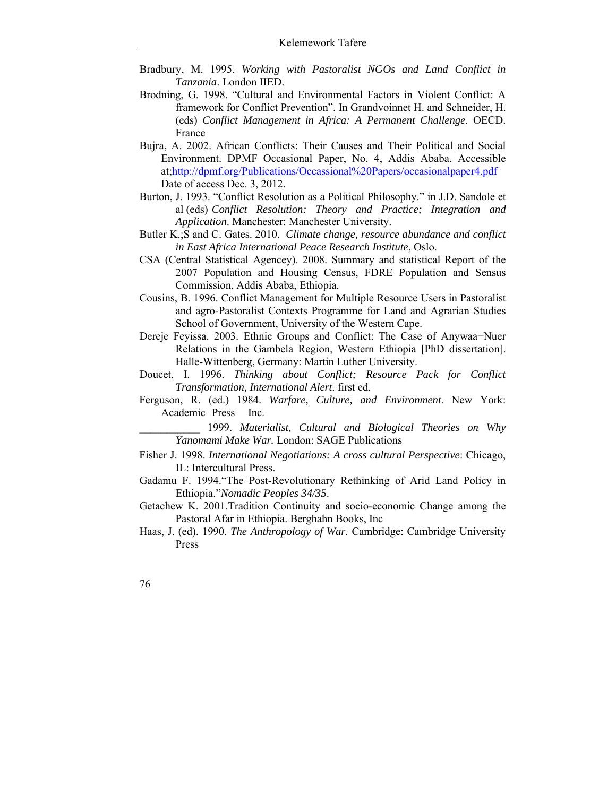- Bradbury, M. 1995. *Working with Pastoralist NGOs and Land Conflict in Tanzania*. London IIED.
- Brodning, G. 1998. "Cultural and Environmental Factors in Violent Conflict: A framework for Conflict Prevention". In Grandvoinnet H. and Schneider, H. (eds) *Conflict Management in Africa: A Permanent Challenge*. OECD. France
- Bujra, A. 2002. African Conflicts: Their Causes and Their Political and Social Environment. DPMF Occasional Paper, No. 4, Addis Ababa. Accessible at;http://dpmf.org/Publications/Occassional%20Papers/occasionalpaper4.pdf Date of access Dec. 3, 2012.
- Burton, J. 1993. "Conflict Resolution as a Political Philosophy." in J.D. Sandole et al (eds) *Conflict Resolution: Theory and Practice; Integration and Application*. Manchester: Manchester University.
- Butler K.;S and C. Gates. 2010. *Climate change, resource abundance and conflict in East Africa International Peace Research Institute*, Oslo.
- CSA (Central Statistical Agencey). 2008. Summary and statistical Report of the 2007 Population and Housing Census, FDRE Population and Sensus Commission, Addis Ababa, Ethiopia.
- Cousins, B. 1996. Conflict Management for Multiple Resource Users in Pastoralist and agro-Pastoralist Contexts Programme for Land and Agrarian Studies School of Government, University of the Western Cape.
- Dereje Feyissa. 2003. Ethnic Groups and Conflict: The Case of Anywaa−Nuer Relations in the Gambela Region, Western Ethiopia [PhD dissertation]. Halle-Wittenberg, Germany: Martin Luther University.
- Doucet, I. 1996. *Thinking about Conflict; Resource Pack for Conflict Transformation, International Alert*. first ed.
- Ferguson, R. (ed.) 1984. *Warfare, Culture, and Environment*. New York: Academic Press Inc.
	- \_\_\_\_\_\_\_\_\_\_\_ 1999. *Materialist, Cultural and Biological Theories on Why Yanomami Make War.* London: SAGE Publications
- Fisher J. 1998. *International Negotiations: A cross cultural Perspective*: Chicago, IL: Intercultural Press.
- Gadamu F. 1994."The Post-Revolutionary Rethinking of Arid Land Policy in Ethiopia."*Nomadic Peoples 34/35*.
- Getachew K. 2001.Tradition Continuity and socio-economic Change among the Pastoral Afar in Ethiopia. Berghahn Books, Inc
- Haas, J. (ed). 1990. *The Anthropology of War*. Cambridge: Cambridge University Press
- 76